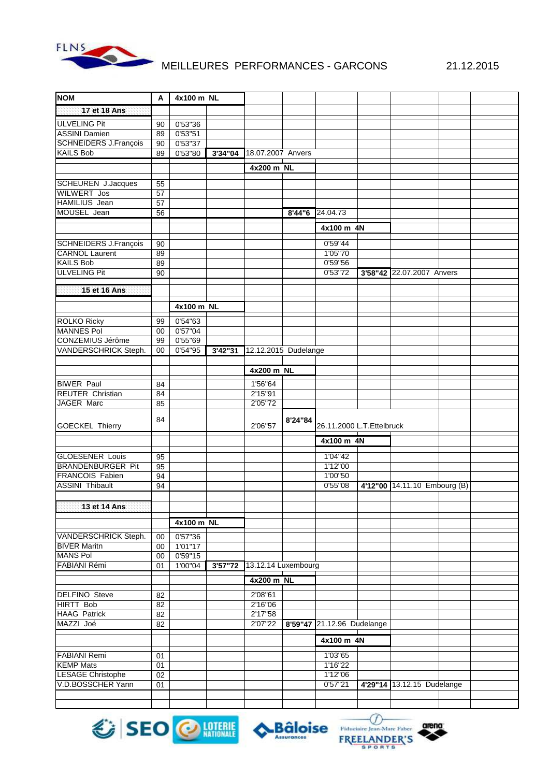

## MEILLEURES PERFORMANCES - GARCONS 21.12.2015

| <b>NOM</b>                                | A        | 4x100 m NL |         |                      |         |                            |  |                              |  |
|-------------------------------------------|----------|------------|---------|----------------------|---------|----------------------------|--|------------------------------|--|
| 17 et 18 Ans                              |          |            |         |                      |         |                            |  |                              |  |
| <b>ULVELING Pit</b>                       | 90       | 0'53"36    |         |                      |         |                            |  |                              |  |
| <b>ASSINI Damien</b>                      | 89       | 0'53''51   |         |                      |         |                            |  |                              |  |
| <b>SCHNEIDERS J.François</b>              | 90       | 0'53"37    |         |                      |         |                            |  |                              |  |
| <b>KAILS Bob</b>                          | 89       | 0'53"80    | 3'34"04 | 18.07.2007 Anvers    |         |                            |  |                              |  |
|                                           |          |            |         | 4x200 m NL           |         |                            |  |                              |  |
|                                           |          |            |         |                      |         |                            |  |                              |  |
| <b>SCHEUREN J.Jacques</b>                 | 55       |            |         |                      |         |                            |  |                              |  |
| <b>WILWERT Jos</b>                        | 57       |            |         |                      |         |                            |  |                              |  |
| <b>HAMILIUS</b> Jean                      | 57       |            |         |                      |         |                            |  |                              |  |
| MOUSEL Jean                               | 56       |            |         |                      | 8'44"6  | 24.04.73                   |  |                              |  |
|                                           |          |            |         |                      |         | 4x100 m 4N                 |  |                              |  |
|                                           |          |            |         |                      |         |                            |  |                              |  |
| SCHNEIDERS J.François                     | 90       |            |         |                      |         | 0'59"44                    |  |                              |  |
| <b>CARNOL Laurent</b><br><b>KAILS Bob</b> | 89       |            |         |                      |         | 1'05"70<br>0'59"56         |  |                              |  |
| <b>ULVELING Pit</b>                       | 89<br>90 |            |         |                      |         | 0'53"72                    |  | 3'58"42 22.07.2007 Anvers    |  |
|                                           |          |            |         |                      |         |                            |  |                              |  |
| 15 et 16 Ans                              |          |            |         |                      |         |                            |  |                              |  |
|                                           |          |            |         |                      |         |                            |  |                              |  |
|                                           |          | 4x100 m NL |         |                      |         |                            |  |                              |  |
| <b>ROLKO Ricky</b>                        | 99       | 0'54"63    |         |                      |         |                            |  |                              |  |
| <b>MANNES Pol</b>                         | $00\,$   | 0'57''04   |         |                      |         |                            |  |                              |  |
| CONZEMIUS Jérôme                          | 99       | 0'55"69    |         |                      |         |                            |  |                              |  |
| VANDERSCHRICK Steph.                      | $00\,$   | 0'54"95    | 3'42"31 | 12.12.2015 Dudelange |         |                            |  |                              |  |
|                                           |          |            |         | 4x200 m NL           |         |                            |  |                              |  |
|                                           |          |            |         |                      |         |                            |  |                              |  |
| <b>BIWER Paul</b>                         | 84       |            |         | 1'56"64              |         |                            |  |                              |  |
| REUTER Christian                          | 84       |            |         | 2'15"91              |         |                            |  |                              |  |
| JAGER Marc                                | 85       |            |         | 2'05"72              |         |                            |  |                              |  |
|                                           | 84       |            |         |                      | 8'24"84 |                            |  |                              |  |
| GOECKEL Thierry                           |          |            |         | 2'06"57              |         | 26.11.2000 L.T. Ettelbruck |  |                              |  |
|                                           |          |            |         |                      |         | 4x100 m 4N                 |  |                              |  |
| <b>GLOESENER Louis</b>                    | 95       |            |         |                      |         | 1'04"42                    |  |                              |  |
| <b>BRANDENBURGER Pit</b>                  | 95       |            |         |                      |         | 1'12"00                    |  |                              |  |
| <b>FRANCOIS Fabien</b>                    | 94       |            |         |                      |         | 1'00"50                    |  |                              |  |
| <b>ASSINI Thibault</b>                    | 94       |            |         |                      |         | 0'55"08                    |  | 4'12"00 14.11.10 Embourg (B) |  |
|                                           |          |            |         |                      |         |                            |  |                              |  |
| 13 et 14 Ans                              |          |            |         |                      |         |                            |  |                              |  |
|                                           |          |            |         |                      |         |                            |  |                              |  |
|                                           |          | 4x100 m NL |         |                      |         |                            |  |                              |  |
| VANDERSCHRICK Steph.                      | 00       | 0'57"36    |         |                      |         |                            |  |                              |  |
| <b>BIVER Maritn</b>                       | $00\,$   | 1'01''17   |         |                      |         |                            |  |                              |  |
| <b>MANS Pol</b>                           | $00\,$   | 0'59''15   |         |                      |         |                            |  |                              |  |
| FABIANI Rémi                              | 01       | 1'00"04    | 3'57"72 | 13.12.14 Luxembourg  |         |                            |  |                              |  |
|                                           |          |            |         | 4x200 m NL           |         |                            |  |                              |  |
| <b>DELFINO</b> Steve                      | 82       |            |         | 2'08"61              |         |                            |  |                              |  |
| <b>HIRTT Bob</b>                          | 82       |            |         | 2'16"06              |         |                            |  |                              |  |
| <b>HAAG Patrick</b>                       | 82       |            |         | 2'17"58              |         |                            |  |                              |  |
| MAZZI Joé                                 | 82       |            |         | 2'07"22              |         | 8'59"47 21.12.96 Dudelange |  |                              |  |
|                                           |          |            |         |                      |         | 4x100 m 4N                 |  |                              |  |
|                                           |          |            |         |                      |         |                            |  |                              |  |
| <b>FABIANI Remi</b>                       | 01       |            |         |                      |         | 1'03"65                    |  |                              |  |
| <b>KEMP Mats</b>                          | 01       |            |         |                      |         | 1'16"22                    |  |                              |  |
| <b>LESAGE Christophe</b>                  | 02       |            |         |                      |         | 1'12"06                    |  |                              |  |
| V.D.BOSSCHER Yann                         | 01       |            |         |                      |         | 0'57''21                   |  | 4'29"14 13.12.15 Dudelange   |  |
|                                           |          |            |         |                      |         |                            |  |                              |  |